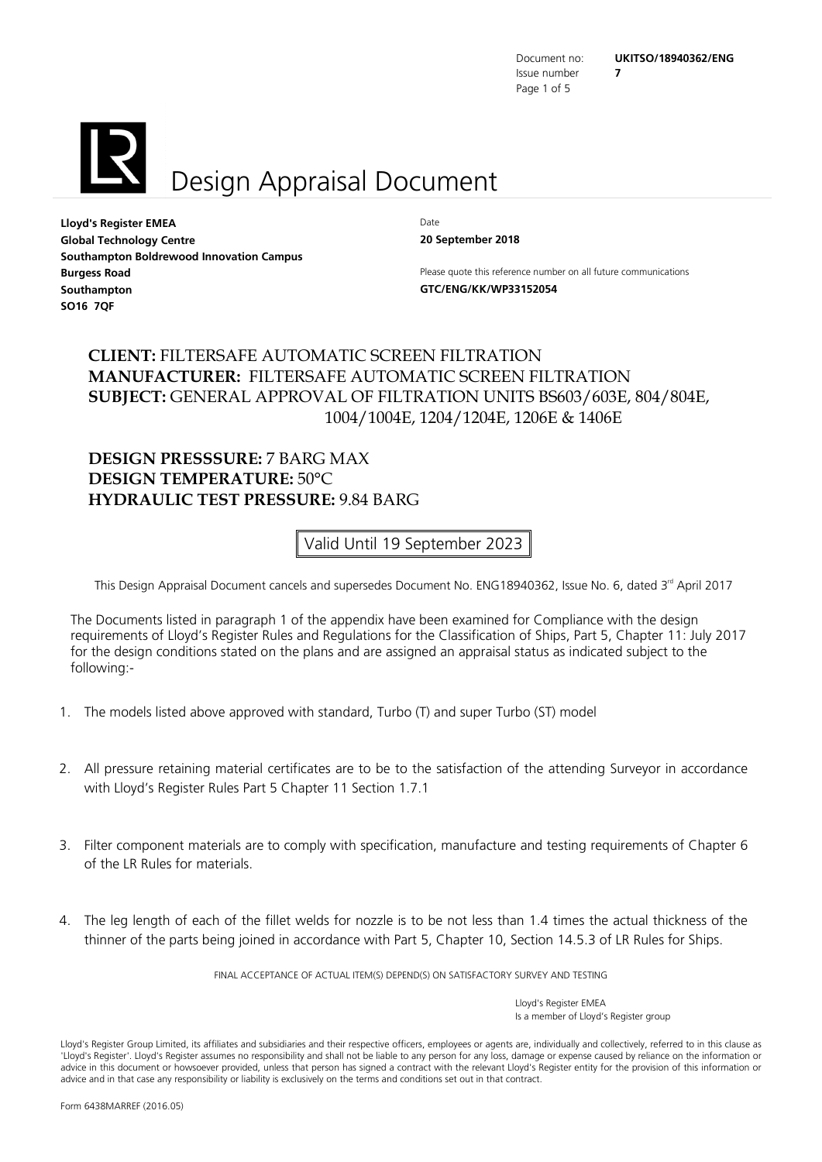Issue number **7** Page 1 of 5

<span id="page-0-2"></span><span id="page-0-1"></span>



<span id="page-0-3"></span><span id="page-0-0"></span>**Lloyd's Register EMEA** Date **Global Technology Centre 20 September 2018 Southampton Boldrewood Innovation Campus Southampton GTC/ENG/KK/WP33152054 SO16 7QF**

<span id="page-0-8"></span><span id="page-0-4"></span>

<span id="page-0-10"></span><span id="page-0-9"></span><span id="page-0-7"></span><span id="page-0-6"></span><span id="page-0-5"></span>**Burgess Road Please quote this reference number on all future communications** 

## **CLIENT:** FILTERSAFE AUTOMATIC SCREEN FILTRATION **MANUFACTURER:** FILTERSAFE AUTOMATIC SCREEN FILTRATION **SUBJECT:** GENERAL APPROVAL OF FILTRATION UNITS BS603/603E, 804/804E, 1004/1004E, 1204/1204E, 1206E & 1406E

### **DESIGN PRESSSURE:** 7 BARG MAX **DESIGN TEMPERATURE:** 50°C **HYDRAULIC TEST PRESSURE:** 9.84 BARG

Valid Until 19 September 2023

This Design Appraisal Document cancels and supersedes Document No. ENG18940362, Issue No. 6, dated 3<sup>rd</sup> April 2017

The Documents listed in paragraph 1 of the appendix have been examined for Compliance with the design requirements of Lloyd's Register Rules and Regulations for the Classification of Ships, Part 5, Chapter 11: July 2017 for the design conditions stated on the plans and are assigned an appraisal status as indicated subject to the following:-

- 1. The models listed above approved with standard, Turbo (T) and super Turbo (ST) model
- 2. All pressure retaining material certificates are to be to the satisfaction of the attending Surveyor in accordance with Lloyd's Register Rules Part 5 Chapter 11 Section 1.7.1
- 3. Filter component materials are to comply with specification, manufacture and testing requirements of Chapter 6 of the LR Rules for materials.
- 4. The leg length of each of the fillet welds for nozzle is to be not less than 1.4 times the actual thickness of the thinner of the parts being joined in accordance with Part 5, Chapter 10, Section 14.5.3 of LR Rules for Ships.

FINAL ACCEPTANCE OF ACTUAL ITEM(S) DEPEND(S) ON SATISFACTORY SURVEY AND TESTING

Lloyd's Register Group Limited, its affiliates and subsidiaries and their respective officers, employees or agents are, individually and collectively, referred to in this clause as 'Lloyd's Register'. Lloyd's Register assumes no responsibility and shall not be liable to any person for any loss, damage or expense caused by reliance on the information or advice in this document or howsoever provided, unless that person has signed a contract with the relevant Lloyd's Register entity for the provision of this information or advice and in that case any responsibility or liability is exclusively on the terms and conditions set out in that contract.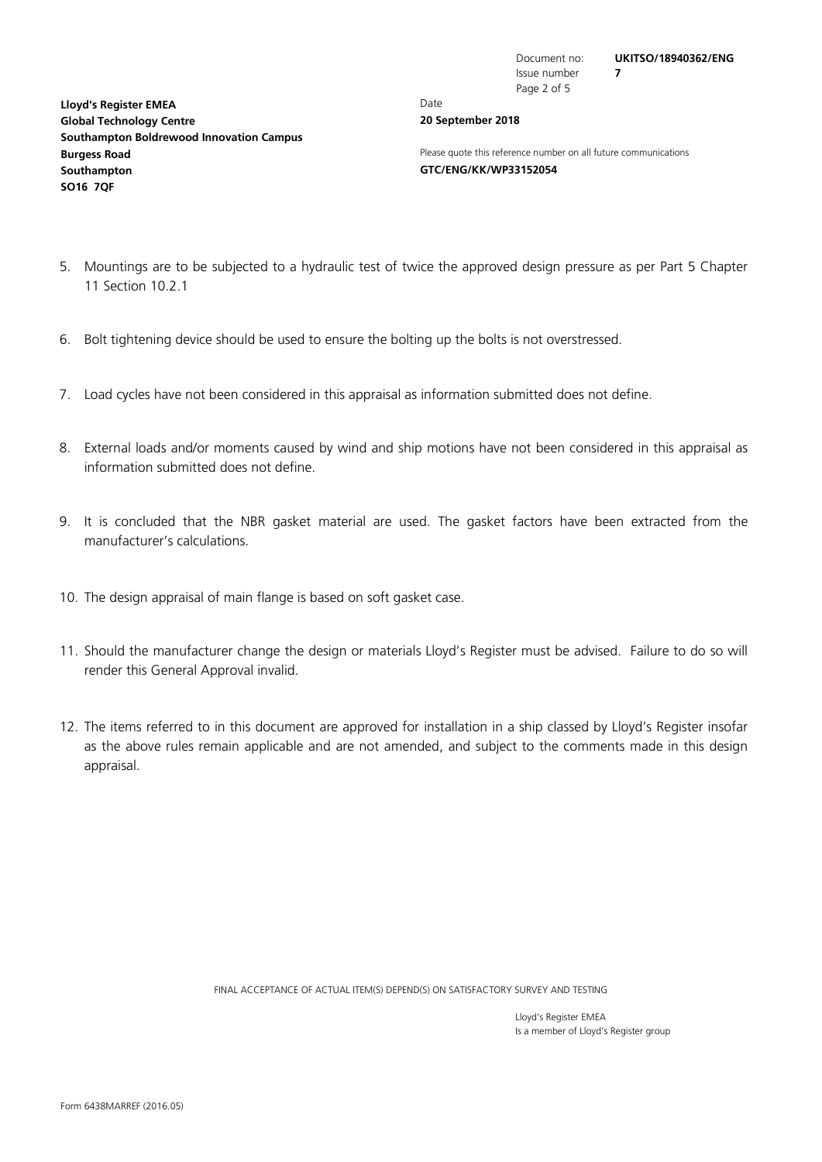**[Lloyd's Register EMEA](#page-0-0)** Date **[Global Technology Centre](#page-0-3) 20 [September](#page-0-4) 2018 [Southampton Boldrewood Innovation Campus](#page-0-5) [Southampton](#page-0-7) [GTC/ENG/KK/WP33152054](#page-0-8) [SO16](#page-0-9) [7QF](#page-0-10)**

Issue number **[7](#page-0-2)** Page 2 of 5

**[Burgess](#page-0-6) Road Please quote this reference number on all future communications** 

- 5. Mountings are to be subjected to a hydraulic test of twice the approved design pressure as per Part 5 Chapter 11 Section 10.2.1
- 6. Bolt tightening device should be used to ensure the bolting up the bolts is not overstressed.
- 7. Load cycles have not been considered in this appraisal as information submitted does not define.
- 8. External loads and/or moments caused by wind and ship motions have not been considered in this appraisal as information submitted does not define.
- 9. It is concluded that the NBR gasket material are used. The gasket factors have been extracted from the manufacturer's calculations.
- 10. The design appraisal of main flange is based on soft gasket case.
- 11. Should the manufacturer change the design or materials Lloyd's Register must be advised. Failure to do so will render this General Approval invalid.
- 12. The items referred to in this document are approved for installation in a ship classed by Lloyd's Register insofar as the above rules remain applicable and are not amended, and subject to the comments made in this design appraisal.

FINAL ACCEPTANCE OF ACTUAL ITEM(S) DEPEND(S) ON SATISFACTORY SURVEY AND TESTING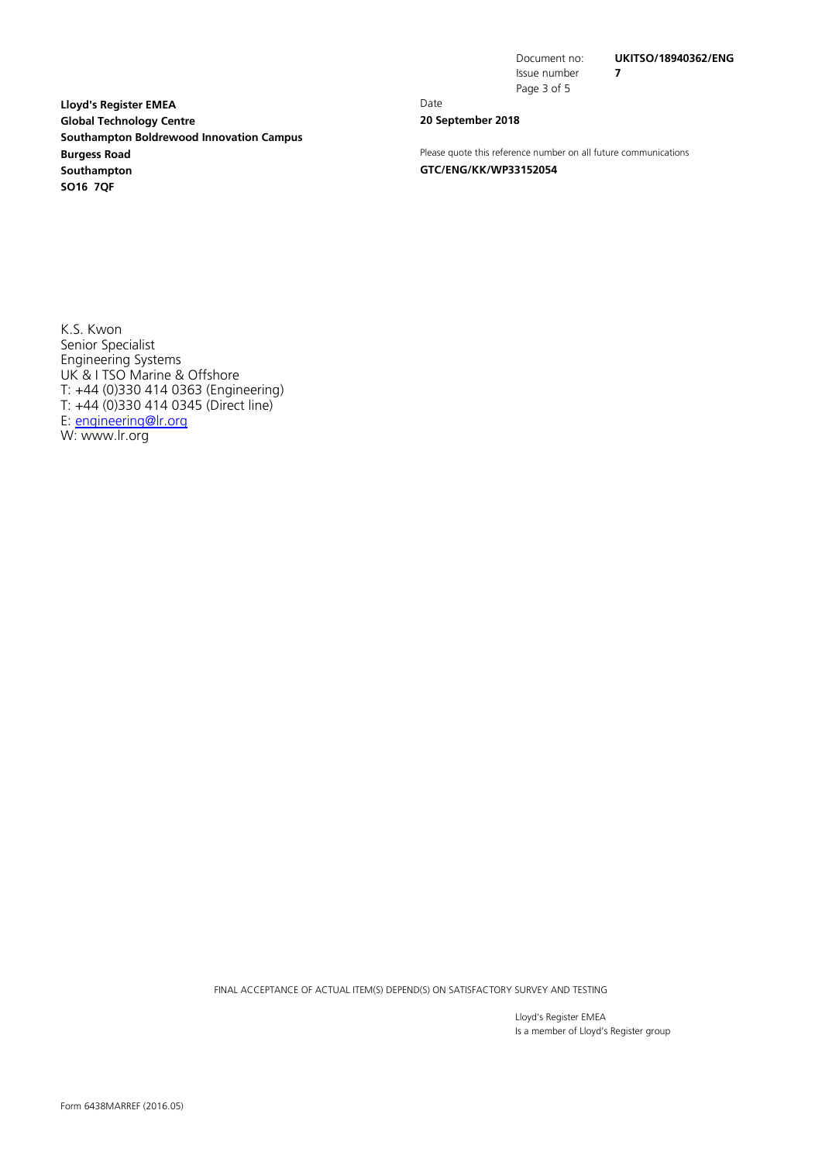Issue number **[7](#page-0-2)** Page 3 of 5

**[Lloyd's Register EMEA](#page-0-0)** Date **[Global Technology Centre](#page-0-3) 20 [September](#page-0-4) 2018 [Southampton Boldrewood Innovation Campus](#page-0-5) [Southampton](#page-0-7) [GTC/ENG/KK/WP33152054](#page-0-8) [SO16](#page-0-9) [7QF](#page-0-10)**

**[Burgess](#page-0-6) Road Please quote this reference number on all future communications** 

K.S. Kwon Senior Specialist Engineering Systems UK & I TSO Marine & Offshore T: +44 (0)330 414 0363 (Engineering) T: +44 (0)330 414 0345 (Direct line) E: [engineering@lr.org](mailto:engineering@lr.org) W: www.lr.org

FINAL ACCEPTANCE OF ACTUAL ITEM(S) DEPEND(S) ON SATISFACTORY SURVEY AND TESTING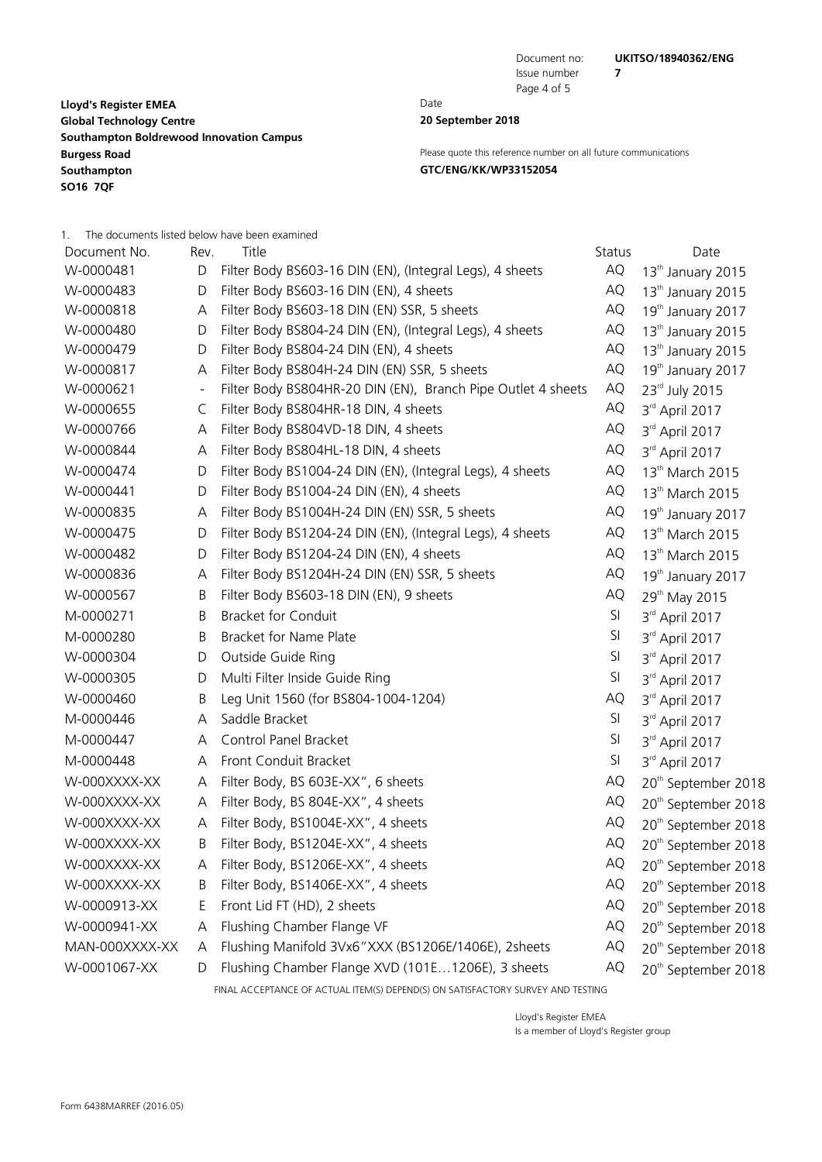Document no: **[UKITSO/18940362/ENG](#page-0-1)**

**[Lloyd's Register EMEA](#page-0-0)** Date **[Global Technology Centre](#page-0-3) 20 [September](#page-0-4) 2018 [Southampton Boldrewood Innovation Campus](#page-0-5) [Southampton](#page-0-7) [GTC/ENG/KK/WP33152054](#page-0-8) [SO16](#page-0-9) [7QF](#page-0-10)**

Issue number **[7](#page-0-2)** Page 4 of 5

**[Burgess](#page-0-6) Road Please quote this reference number on all future communications** 

1. The documents listed below have been examined

| Document No.   | Rev. | Title                                                        | Status | Date                            |
|----------------|------|--------------------------------------------------------------|--------|---------------------------------|
| W-0000481      | D    | Filter Body BS603-16 DIN (EN), (Integral Legs), 4 sheets     | AQ     | 13 <sup>th</sup> January 2015   |
| W-0000483      | D    | Filter Body BS603-16 DIN (EN), 4 sheets                      | AQ     | 13 <sup>th</sup> January 2015   |
| W-0000818      | A    | Filter Body BS603-18 DIN (EN) SSR, 5 sheets                  | AQ     | 19 <sup>th</sup> January 2017   |
| W-0000480      | D    | Filter Body BS804-24 DIN (EN), (Integral Legs), 4 sheets     | AQ     | 13 <sup>th</sup> January 2015   |
| W-0000479      | D    | Filter Body BS804-24 DIN (EN), 4 sheets                      | AQ     | 13 <sup>th</sup> January 2015   |
| W-0000817      | A    | Filter Body BS804H-24 DIN (EN) SSR, 5 sheets                 | AQ     | 19 <sup>th</sup> January 2017   |
| W-0000621      |      | Filter Body BS804HR-20 DIN (EN), Branch Pipe Outlet 4 sheets | AQ     | 23rd July 2015                  |
| W-0000655      | C    | Filter Body BS804HR-18 DIN, 4 sheets                         | AQ     | $3rd$ April 2017                |
| W-0000766      | Α    | Filter Body BS804VD-18 DIN, 4 sheets                         | AQ     | 3rd April 2017                  |
| W-0000844      | Α    | Filter Body BS804HL-18 DIN, 4 sheets                         | AQ     | $3rd$ April 2017                |
| W-0000474      | D    | Filter Body BS1004-24 DIN (EN), (Integral Legs), 4 sheets    | AQ     | 13 <sup>th</sup> March 2015     |
| W-0000441      | D    | Filter Body BS1004-24 DIN (EN), 4 sheets                     | AQ     | 13 <sup>th</sup> March 2015     |
| W-0000835      | Α    | Filter Body BS1004H-24 DIN (EN) SSR, 5 sheets                | AQ     | 19th January 2017               |
| W-0000475      | D    | Filter Body BS1204-24 DIN (EN), (Integral Legs), 4 sheets    | AQ     | 13 <sup>th</sup> March 2015     |
| W-0000482      | D    | Filter Body BS1204-24 DIN (EN), 4 sheets                     | AQ     | 13 <sup>th</sup> March 2015     |
| W-0000836      | Α    | Filter Body BS1204H-24 DIN (EN) SSR, 5 sheets                | AQ     | 19 <sup>th</sup> January 2017   |
| W-0000567      | Β    | Filter Body BS603-18 DIN (EN), 9 sheets                      | AQ     | 29 <sup>th</sup> May 2015       |
| M-0000271      | B    | <b>Bracket for Conduit</b>                                   | SI     | $3rd$ April 2017                |
| M-0000280      | B    | Bracket for Name Plate                                       | SI     | 3rd April 2017                  |
| W-0000304      | D    | Outside Guide Ring                                           | SI     | 3rd April 2017                  |
| W-0000305      | D    | Multi Filter Inside Guide Ring                               | SI     | 3rd April 2017                  |
| W-0000460      | Β    | Leg Unit 1560 (for BS804-1004-1204)                          | AQ     | $3rd$ April 2017                |
| M-0000446      | Α    | Saddle Bracket                                               | SI     | 3rd April 2017                  |
| M-0000447      | Α    | Control Panel Bracket                                        | SI     | 3rd April 2017                  |
| M-0000448      | Α    | Front Conduit Bracket                                        | SI     | 3rd April 2017                  |
| W-000XXXX-XX   | Α    | Filter Body, BS 603E-XX", 6 sheets                           | AQ     | 20 <sup>th</sup> September 2018 |
| W-000XXXX-XX   | Α    | Filter Body, BS 804E-XX", 4 sheets                           | AQ     | 20 <sup>th</sup> September 2018 |
| W-000XXXX-XX   | Α    | Filter Body, BS1004E-XX", 4 sheets                           | AQ     | 20 <sup>th</sup> September 2018 |
| W-000XXXX-XX   | Β    | Filter Body, BS1204E-XX", 4 sheets                           | AQ     | 20 <sup>th</sup> September 2018 |
| W-000XXXX-XX   | A    | Filter Body, BS1206E-XX", 4 sheets                           | AQ     | 20 <sup>th</sup> September 2018 |
| W-000XXXX-XX   | Β    | Filter Body, BS1406E-XX", 4 sheets                           | AQ     | 20 <sup>th</sup> September 2018 |
| W-0000913-XX   | E,   | Front Lid FT (HD), 2 sheets                                  | AQ     | 20 <sup>th</sup> September 2018 |
| W-0000941-XX   | Α    | Flushing Chamber Flange VF                                   | AQ     | 20 <sup>th</sup> September 2018 |
| MAN-000XXXX-XX | Α    | Flushing Manifold 3Vx6"XXX (BS1206E/1406E), 2sheets          | AQ     | 20 <sup>th</sup> September 2018 |
| W-0001067-XX   | D    | Flushing Chamber Flange XVD (101E1206E), 3 sheets            | AQ     | 20 <sup>th</sup> September 2018 |
|                |      |                                                              |        |                                 |

FINAL ACCEPTANCE OF ACTUAL ITEM(S) DEPEND(S) ON SATISFACTORY SURVEY AND TESTING